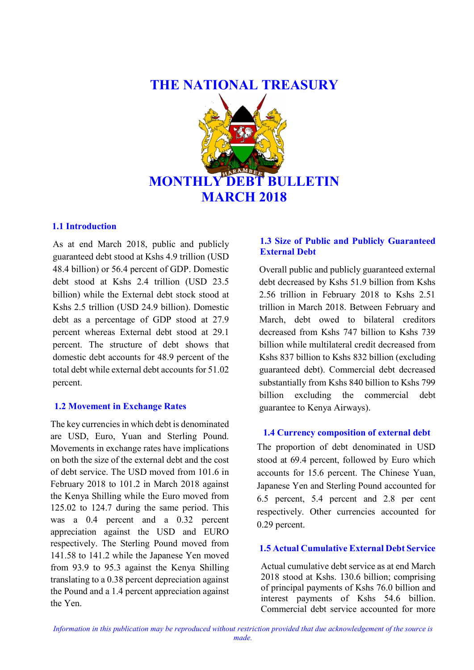# THE NATIONAL TREASURY



## 1.1 Introduction

As at end March 2018, public and publicly guaranteed debt stood at Kshs 4.9 trillion (USD 48.4 billion) or 56.4 percent of GDP. Domestic debt stood at Kshs 2.4 trillion (USD 23.5 billion) while the External debt stock stood at Kshs 2.5 trillion (USD 24.9 billion). Domestic debt as a percentage of GDP stood at 27.9 percent whereas External debt stood at 29.1 percent. The structure of debt shows that domestic debt accounts for 48.9 percent of the total debt while external debt accounts for 51.02 percent.

## 1.2 Movement in Exchange Rates

The key currencies in which debt is denominated are USD, Euro, Yuan and Sterling Pound. Movements in exchange rates have implications on both the size of the external debt and the cost of debt service. The USD moved from 101.6 in February 2018 to 101.2 in March 2018 against the Kenya Shilling while the Euro moved from 125.02 to 124.7 during the same period. This was a 0.4 percent and a 0.32 percent appreciation against the USD and EURO respectively. The Sterling Pound moved from 141.58 to 141.2 while the Japanese Yen moved from 93.9 to 95.3 against the Kenya Shilling translating to a 0.38 percent depreciation against the Pound and a 1.4 percent appreciation against the Yen.

# 1.3 Size of Public and Publicly Guaranteed External Debt

Overall public and publicly guaranteed external debt decreased by Kshs 51.9 billion from Kshs 2.56 trillion in February 2018 to Kshs 2.51 trillion in March 2018. Between February and March, debt owed to bilateral creditors decreased from Kshs 747 billion to Kshs 739 billion while multilateral credit decreased from Kshs 837 billion to Kshs 832 billion (excluding guaranteed debt). Commercial debt decreased substantially from Kshs 840 billion to Kshs 799 billion excluding the commercial debt guarantee to Kenya Airways).

## 1.4 Currency composition of external debt

The proportion of debt denominated in USD stood at 69.4 percent, followed by Euro which accounts for 15.6 percent. The Chinese Yuan, Japanese Yen and Sterling Pound accounted for 6.5 percent, 5.4 percent and 2.8 per cent respectively. Other currencies accounted for 0.29 percent.

## 1.5 Actual Cumulative External Debt Service

Actual cumulative debt service as at end March 2018 stood at Kshs. 130.6 billion; comprising of principal payments of Kshs 76.0 billion and interest payments of Kshs 54.6 billion. Commercial debt service accounted for more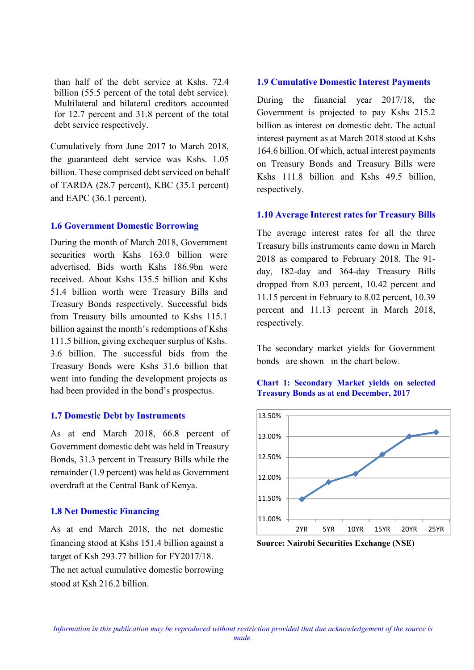than half of the debt service at Kshs. 72.4 billion (55.5 percent of the total debt service). Multilateral and bilateral creditors accounted for 12.7 percent and 31.8 percent of the total debt service respectively.

Cumulatively from June 2017 to March 2018, the guaranteed debt service was Kshs. 1.05 billion. These comprised debt serviced on behalf of TARDA (28.7 percent), KBC (35.1 percent) and EAPC (36.1 percent).

## 1.6 Government Domestic Borrowing

During the month of March 2018, Government securities worth Kshs 163.0 billion were advertised. Bids worth Kshs 186.9bn were received. About Kshs 135.5 billion and Kshs 51.4 billion worth were Treasury Bills and Treasury Bonds respectively. Successful bids from Treasury bills amounted to Kshs 115.1 billion against the month's redemptions of Kshs 111.5 billion, giving exchequer surplus of Kshs. 3.6 billion. The successful bids from the Treasury Bonds were Kshs 31.6 billion that went into funding the development projects as had been provided in the bond's prospectus.

## 1.7 Domestic Debt by Instruments

As at end March 2018, 66.8 percent of Government domestic debt was held in Treasury Bonds, 31.3 percent in Treasury Bills while the remainder (1.9 percent) was held as Government overdraft at the Central Bank of Kenya.

## 1.8 Net Domestic Financing

As at end March 2018, the net domestic financing stood at Kshs 151.4 billion against a target of Ksh 293.77 billion for FY2017/18. The net actual cumulative domestic borrowing stood at Ksh 216.2 billion.

#### 1.9 Cumulative Domestic Interest Payments

During the financial year 2017/18, the Government is projected to pay Kshs 215.2 billion as interest on domestic debt. The actual interest payment as at March 2018 stood at Kshs 164.6 billion. Of which, actual interest payments on Treasury Bonds and Treasury Bills were Kshs 111.8 billion and Kshs 49.5 billion, respectively.

#### 1.10 Average Interest rates for Treasury Bills

The average interest rates for all the three Treasury bills instruments came down in March 2018 as compared to February 2018. The 91 day, 182-day and 364-day Treasury Bills dropped from 8.03 percent, 10.42 percent and 11.15 percent in February to 8.02 percent, 10.39 percent and 11.13 percent in March 2018, respectively.

The secondary market yields for Government bonds are shown in the chart below.





Source: Nairobi Securities Exchange (NSE)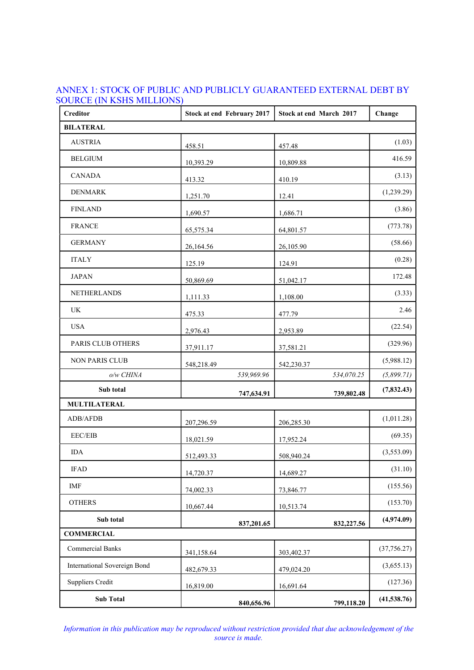| <b>Creditor</b>                     | Stock at end February 2017 | Stock at end March 2017 | Change       |
|-------------------------------------|----------------------------|-------------------------|--------------|
| <b>BILATERAL</b>                    |                            |                         |              |
| <b>AUSTRIA</b>                      | 458.51                     | 457.48                  | (1.03)       |
| <b>BELGIUM</b>                      | 10,393.29                  | 10,809.88               | 416.59       |
| <b>CANADA</b>                       | 413.32                     | 410.19                  | (3.13)       |
| <b>DENMARK</b>                      | 1,251.70                   | 12.41                   | (1,239.29)   |
| <b>FINLAND</b>                      | 1,690.57                   | 1,686.71                | (3.86)       |
| <b>FRANCE</b>                       | 65,575.34                  | 64,801.57               | (773.78)     |
| <b>GERMANY</b>                      | 26,164.56                  | 26,105.90               | (58.66)      |
| <b>ITALY</b>                        | 125.19                     | 124.91                  | (0.28)       |
| <b>JAPAN</b>                        | 50,869.69                  | 51,042.17               | 172.48       |
| NETHERLANDS                         | 1,111.33                   | 1,108.00                | (3.33)       |
| UK                                  | 475.33                     | 477.79                  | 2.46         |
| <b>USA</b>                          | 2,976.43                   | 2,953.89                | (22.54)      |
| PARIS CLUB OTHERS                   | 37,911.17                  | 37,581.21               | (329.96)     |
| NON PARIS CLUB                      | 548,218.49                 | 542,230.37              | (5,988.12)   |
| o/w CHINA                           | 539,969.96                 | 534,070.25              | (5,899.71)   |
| Sub total                           | 747,634.91                 | 739,802.48              | (7, 832.43)  |
| <b>MULTILATERAL</b>                 |                            |                         |              |
| ADB/AFDB                            | 207,296.59                 | 206,285.30              | (1,011.28)   |
| EEC/EIB                             | 18,021.59                  | 17,952.24               | (69.35)      |
| $\rm IDA$                           | 512,493.33                 | 508,940.24              | (3,553.09)   |
| <b>IFAD</b>                         | 14,720.37                  | 14,689.27               | (31.10)      |
| <b>IMF</b>                          | 74,002.33                  | 73,846.77               | (155.56)     |
| <b>OTHERS</b>                       | 10,667.44                  | 10,513.74               | (153.70)     |
| Sub total                           | 837,201.65                 | 832,227.56              | (4,974.09)   |
| <b>COMMERCIAL</b>                   |                            |                         |              |
| <b>Commercial Banks</b>             | 341,158.64                 | 303,402.37              | (37, 756.27) |
| <b>International Sovereign Bond</b> | 482,679.33                 | 479,024.20              | (3,655.13)   |
| <b>Suppliers Credit</b>             | 16,819.00                  | 16,691.64               | (127.36)     |
| <b>Sub Total</b>                    | 840,656.96                 | 799,118.20              | (41, 538.76) |

## ANNEX 1: STOCK OF PUBLIC AND PUBLICLY GUARANTEED EXTERNAL DEBT BY SOURCE (IN KSHS MILLIONS)

Information in this publication may be reproduced without restriction provided that due acknowledgement of the source is made.